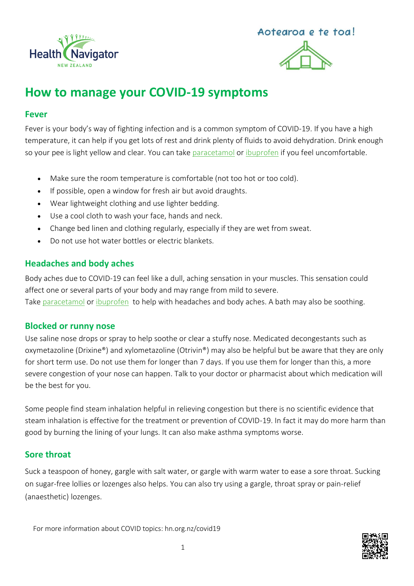



# **How to manage your COVID-19 symptoms**

### **Fever**

Fever is your body's way of fighting infection and is a common symptom of COVID-19. If you have a high temperature, it can help if you get lots of rest and drink plenty of fluids to avoid dehydration. Drink enough so your pee is light yellow and clear. You can tak[e paracetamol](https://www.healthnavigator.org.nz/medicines/p/paracetamol/) or [ibuprofen](https://www.healthnavigator.org.nz/medicines/i/ibuprofen/) if you feel uncomfortable.

- Make sure the room temperature is comfortable (not too hot or too cold).
- If possible, open a window for fresh air but avoid draughts.
- Wear lightweight clothing and use lighter bedding.
- Use a cool cloth to wash your face, hands and neck.
- Change bed linen and clothing regularly, especially if they are wet from sweat.
- Do not use hot water bottles or electric blankets.

### **Headaches and body aches**

Body aches due to COVID-19 can feel like a dull, aching sensation in your muscles. This sensation could affect one or several parts of your body and may range from mild to severe. Take [paracetamol](https://www.healthnavigator.org.nz/medicines/p/paracetamol/) or [ibuprofen](https://www.healthnavigator.org.nz/medicines/i/ibuprofen/) to help with headaches and body aches. A bath may also be soothing.

### **Blocked or runny nose**

Use [saline nose drops or spray](https://www.healthnavigator.org.nz/medicines/s/saline-nasal-sprays-drops-rinses/) to help soothe or clear a stuffy nose. Medicated [decongestants](https://www.healthnavigator.org.nz/medicines/n/nasal-decongestants/) such as oxymetazoline (Drixine®) and xylometazoline (Otrivin®) may also be helpful but be aware that they are only for short term use. Do not use them for longer than 7 days. If you use them for longer than this, a more severe congestion of your nose can happen. Talk to your doctor or pharmacist about which medication will be the best for you.

Some people find steam inhalation helpful in relieving congestion but there is no scientific evidence that steam inhalation is effective for the treatment or prevention of COVID-19. In fact it may do more harm than good by burning the lining of your lungs. It can also make asthma symptoms worse.

### **Sore throat**

Suck a teaspoon of honey, gargle with salt water, or gargle with warm water to ease a sore throat. Sucking on sugar-free lollies or lozenges also helps. You can also try using a gargle, throat spray or pain-relief (anaesthetic) lozenges.

For more information about COVID topics: hn.org.nz/covid19